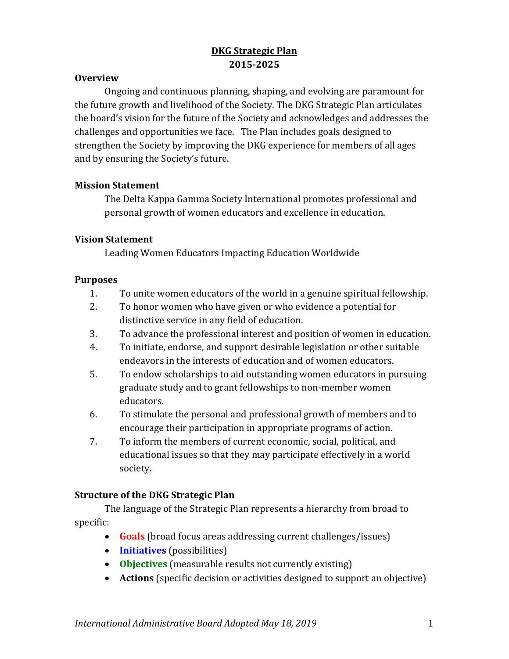# **DKG Strategic Plan 2015-2025**

#### **Overview**

Ongoing and continuous planning, shaping, and evolving are paramount for the future growth and livelihood of the Society. The DKG Strategic Plan articulates the board's vision for the future of the Society and acknowledges and addresses the challenges and opportunities we face. The Plan includes goals designed to strengthen the Society by improving the DKG experience for members of all ages and by ensuring the Society's future.

### **Mission Statement**

The Delta Kappa Gamma Society International promotes professional and personal growth of women educators and excellence in education.

### **Vision Statement**

Leading Women Educators Impacting Education Worldwide

#### **Purposes**

- 1. To unite women educators of the world in a genuine spiritual fellowship.
- 2. To honor women who have given or who evidence a potential for distinctive service in any field of education.
- 3. To advance the professional interest and position of women in education.
- 4. To initiate, endorse, and support desirable legislation or other suitable endeavors in the interests of education and of women educators.
- 5. To endow scholarships to aid outstanding women educators in pursuing graduate study and to grant fellowships to non-member women educators.
- 6. To stimulate the personal and professional growth of members and to encourage their participation in appropriate programs of action.
- 7. To inform the members of current economic, social, political, and educational issues so that they may participate effectively in a world society.

#### **Structure of the DKG Strategic Plan**

The language of the Strategic Plan represents a hierarchy from broad to specific:

- **Goals** (broad focus areas addressing current challenges/issues)
- **Initiatives** (possibilities)
- **Objectives** (measurable results not currently existing)
- **Actions** (specific decision or activities designed to support an objective)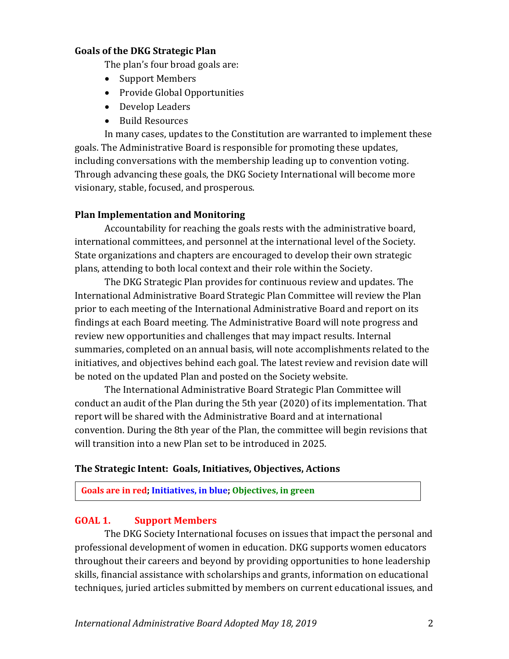#### **Goals of the DKG Strategic Plan**

The plan's four broad goals are:

- Support Members
- Provide Global Opportunities
- Develop Leaders
- Build Resources

In many cases, updates to the Constitution are warranted to implement these goals. The Administrative Board is responsible for promoting these updates, including conversations with the membership leading up to convention voting. Through advancing these goals, the DKG Society International will become more visionary, stable, focused, and prosperous.

## **Plan Implementation and Monitoring**

Accountability for reaching the goals rests with the administrative board, international committees, and personnel at the international level of the Society. State organizations and chapters are encouraged to develop their own strategic plans, attending to both local context and their role within the Society.

The DKG Strategic Plan provides for continuous review and updates. The International Administrative Board Strategic Plan Committee will review the Plan prior to each meeting of the International Administrative Board and report on its findings at each Board meeting. The Administrative Board will note progress and review new opportunities and challenges that may impact results. Internal summaries, completed on an annual basis, will note accomplishments related to the initiatives, and objectives behind each goal. The latest review and revision date will be noted on the updated Plan and posted on the Society website.

The International Administrative Board Strategic Plan Committee will conduct an audit of the Plan during the 5th year (2020) of its implementation. That report will be shared with the Administrative Board and at international convention. During the 8th year of the Plan, the committee will begin revisions that will transition into a new Plan set to be introduced in 2025.

#### **The Strategic Intent: Goals, Initiatives, Objectives, Actions**

**Goals are in red; Initiatives, in blue; Objectives, in green**

## **GOAL 1. Support Members**

The DKG Society International focuses on issues that impact the personal and professional development of women in education. DKG supports women educators throughout their careers and beyond by providing opportunities to hone leadership skills, financial assistance with scholarships and grants, information on educational techniques, juried articles submitted by members on current educational issues, and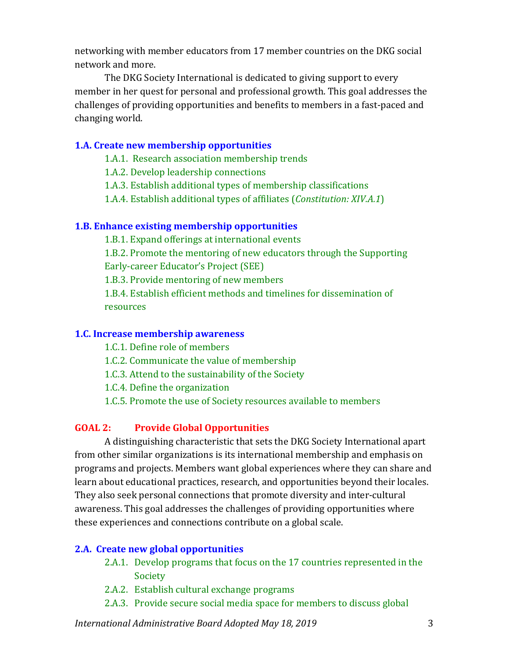networking with member educators from 17 member countries on the DKG social network and more.

The DKG Society International is dedicated to giving support to every member in her quest for personal and professional growth. This goal addresses the challenges of providing opportunities and benefits to members in a fast-paced and changing world.

## **1.A. Create new membership opportunities**

1.A.1. Research association membership trends

1.A.2. Develop leadership connections

1.A.3. Establish additional types of membership classifications

1.A.4. Establish additional types of affiliates (*Constitution: XIV.A.1*)

### **1.B. Enhance existing membership opportunities**

1.B.1. Expand offerings at international events

1.B.2. Promote the mentoring of new educators through the Supporting Early-career Educator's Project (SEE)

1.B.3. Provide mentoring of new members

1.B.4. Establish efficient methods and timelines for dissemination of resources

## **1.C. Increase membership awareness**

1.C.1. Define role of members

1.C.2. Communicate the value of membership

1.C.3. Attend to the sustainability of the Society

1.C.4. Define the organization

1.C.5. Promote the use of Society resources available to members

## **GOAL 2: Provide Global Opportunities**

A distinguishing characteristic that sets the DKG Society International apart from other similar organizations is its international membership and emphasis on programs and projects. Members want global experiences where they can share and learn about educational practices, research, and opportunities beyond their locales. They also seek personal connections that promote diversity and inter-cultural awareness. This goal addresses the challenges of providing opportunities where these experiences and connections contribute on a global scale.

## **2.A. Create new global opportunities**

- 2.A.1. Develop programs that focus on the 17 countries represented in the Society
- 2.A.2. Establish cultural exchange programs
- 2.A.3. Provide secure social media space for members to discuss global

*International Administrative Board Adopted May 18, 2019* 3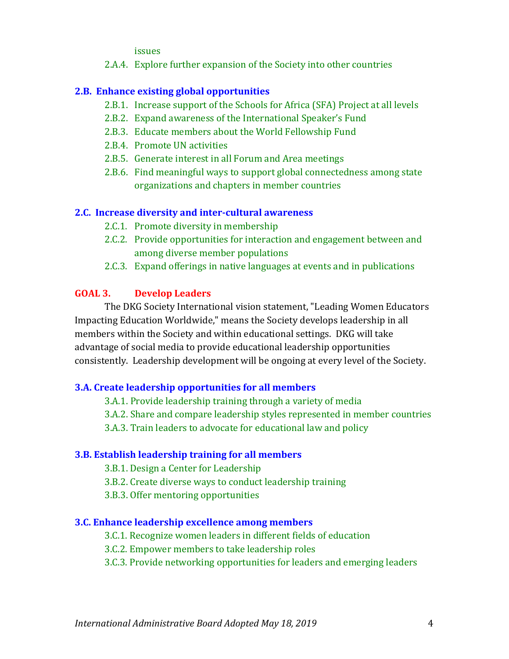issues

2.A.4. Explore further expansion of the Society into other countries

## **2.B. Enhance existing global opportunities**

- 2.B.1. Increase support of the Schools for Africa (SFA) Project at all levels
- 2.B.2. Expand awareness of the International Speaker's Fund
- 2.B.3. Educate members about the World Fellowship Fund
- 2.B.4. Promote UN activities
- 2.B.5. Generate interest in all Forum and Area meetings
- 2.B.6. Find meaningful ways to support global connectedness among state organizations and chapters in member countries

# **2.C. Increase diversity and inter-cultural awareness**

- 2.C.1. Promote diversity in membership
- 2.C.2. Provide opportunities for interaction and engagement between and among diverse member populations
- 2.C.3. Expand offerings in native languages at events and in publications

# **GOAL 3. Develop Leaders**

The DKG Society International vision statement, "Leading Women Educators Impacting Education Worldwide," means the Society develops leadership in all members within the Society and within educational settings. DKG will take advantage of social media to provide educational leadership opportunities consistently. Leadership development will be ongoing at every level of the Society.

# **3.A. Create leadership opportunities for all members**

3.A.1. Provide leadership training through a variety of media

3.A.2. Share and compare leadership styles represented in member countries

3.A.3. Train leaders to advocate for educational law and policy

# **3.B. Establish leadership training for all members**

3.B.1. Design a Center for Leadership

3.B.2. Create diverse ways to conduct leadership training

3.B.3. Offer mentoring opportunities

## **3.C. Enhance leadership excellence among members**

3.C.1. Recognize women leaders in different fields of education

3.C.2. Empower members to take leadership roles

3.C.3. Provide networking opportunities for leaders and emerging leaders